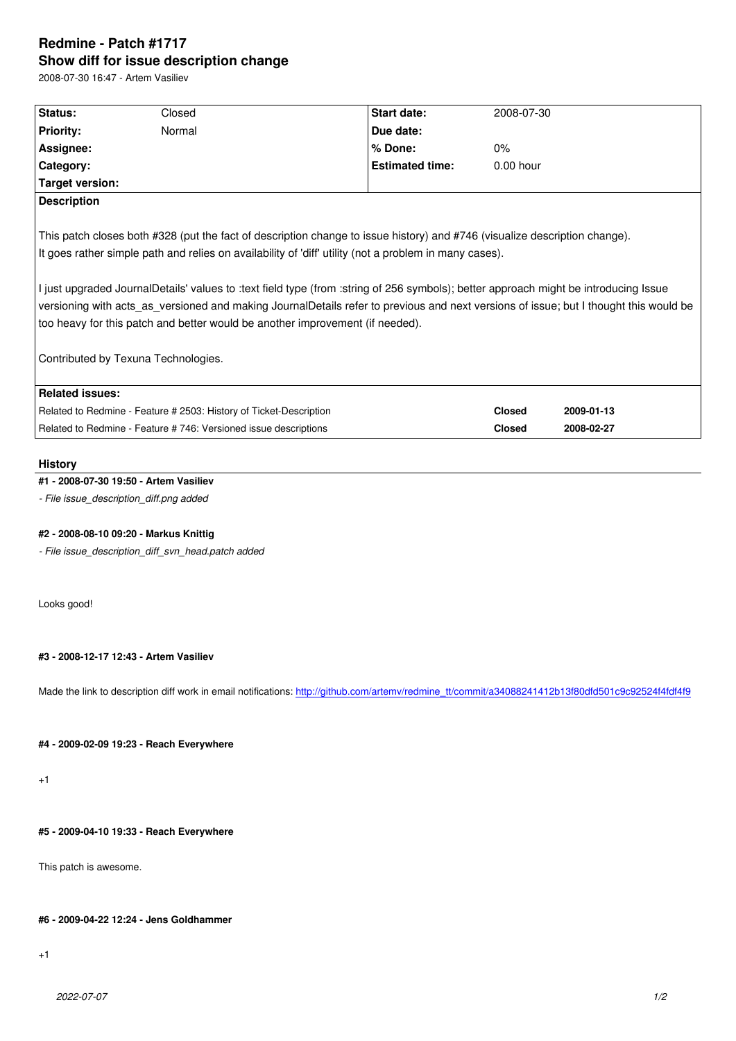#### **Show diff for issue description change**

2008-07-30 16:47 - Artem Vasiliev

| Status:                | Closed                                                                        | <b>Start date:</b>                                                                                                                                                                                                                                                                                                                                                                      | 2008-07-30    |            |
|------------------------|-------------------------------------------------------------------------------|-----------------------------------------------------------------------------------------------------------------------------------------------------------------------------------------------------------------------------------------------------------------------------------------------------------------------------------------------------------------------------------------|---------------|------------|
| <b>Priority:</b>       | Normal                                                                        | Due date:                                                                                                                                                                                                                                                                                                                                                                               |               |            |
| Assignee:              |                                                                               | % Done:                                                                                                                                                                                                                                                                                                                                                                                 | $0\%$         |            |
| Category:              |                                                                               | <b>Estimated time:</b>                                                                                                                                                                                                                                                                                                                                                                  | $0.00$ hour   |            |
| Target version:        |                                                                               |                                                                                                                                                                                                                                                                                                                                                                                         |               |            |
| <b>Description</b>     |                                                                               |                                                                                                                                                                                                                                                                                                                                                                                         |               |            |
|                        | too heavy for this patch and better would be another improvement (if needed). | It goes rather simple path and relies on availability of 'diff' utility (not a problem in many cases).<br>I just upgraded JournalDetails' values to :text field type (from :string of 256 symbols); better approach might be introducing Issue<br>versioning with acts as versioned and making JournalDetails refer to previous and next versions of issue; but I thought this would be |               |            |
|                        | Contributed by Texuna Technologies.                                           |                                                                                                                                                                                                                                                                                                                                                                                         |               |            |
| <b>Related issues:</b> |                                                                               |                                                                                                                                                                                                                                                                                                                                                                                         |               |            |
|                        | Related to Redmine - Feature # 2503: History of Ticket-Description            |                                                                                                                                                                                                                                                                                                                                                                                         | <b>Closed</b> | 2009-01-13 |
|                        | Related to Redmine - Feature #746: Versioned issue descriptions               |                                                                                                                                                                                                                                                                                                                                                                                         | <b>Closed</b> | 2008-02-27 |

### **History**

### **#1 - 2008-07-30 19:50 - Artem Vasiliev**

*- File issue\_description\_diff.png added*

#### **#2 - 2008-08-10 09:20 - Markus Knittig**

*- File issue\_description\_diff\_svn\_head.patch added*

Looks good!

#### **#3 - 2008-12-17 12:43 - Artem Vasiliev**

Made the link to description diff work in email notifications: http://github.com/artemv/redmine\_tt/commit/a34088241412b13f80dfd501c9c92524f4fdf4f9

#### **#4 - 2009-02-09 19:23 - Reach Everywhere**

+1

## **#5 - 2009-04-10 19:33 - Reach Everywhere**

This patch is awesome.

#### **#6 - 2009-04-22 12:24 - Jens Goldhammer**

+1